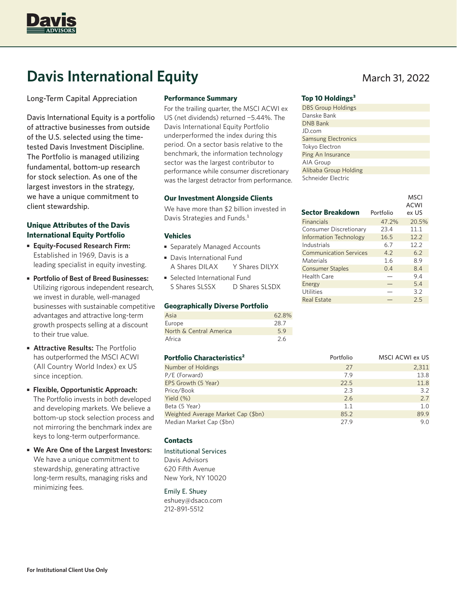

# **Davis International Equity** March 31, 2022

Long-Term Capital Appreciation

Davis International Equity is a portfolio of attractive businesses from outside of the U.S. selected using the timetested Davis Investment Discipline. The Portfolio is managed utilizing fundamental, bottom-up research for stock selection. As one of the largest investors in the strategy, we have a unique commitment to client stewardship.

# **Unique Attributes of the Davis International Equity Portfolio**

- **Equity-Focused Research Firm:** Established in 1969, Davis is a leading specialist in equity investing.
- **Portfolio of Best of Breed Businesses:** Utilizing rigorous independent research, we invest in durable, well-managed businesses with sustainable competitive advantages and attractive long-term growth prospects selling at a discount to their true value.
- **Attractive Results:** The Portfolio has outperformed the MSCI ACWI (All Country World Index) ex US since inception.
- **Flexible, Opportunistic Approach:** The Portfolio invests in both developed and developing markets. We believe a bottom-up stock selection process and not mirroring the benchmark index are keys to long-term outperformance.
- **We Are One of the Largest Investors:** We have a unique commitment to stewardship, generating attractive long-term results, managing risks and minimizing fees.

## **Performance Summary**

For the trailing quarter, the MSCI ACWI ex US (net dividends) returned −5.44%. The Davis International Equity Portfolio underperformed the index during this period. On a sector basis relative to the benchmark, the information technology sector was the largest contributor to performance while consumer discretionary was the largest detractor from performance.

## **Our Investment Alongside Clients**

We have more than \$2 billion invested in Davis Strategies and Funds.<sup>1</sup>

## **Vehicles**

- Separately Managed Accounts
- Davis International Fund A Shares DILAX Y Shares DILYX
- Selected International Fund S Shares SLSSX D Shares SLSDX

#### **Geographically Diverse Portfolio**

| Asia                    | 62.8% |
|-------------------------|-------|
| Europe                  | 28.7  |
| North & Central America | 5.9   |
| Africa                  | 2.6   |

| Portfolio Characteristics <sup>2</sup> | Portfolio | <b>MSCI ACWI ex US</b> |
|----------------------------------------|-----------|------------------------|
| Number of Holdings                     | 27        | 2,311                  |
| P/E (Forward)                          | 7.9       | 13.8                   |
| EPS Growth (5 Year)                    | 22.5      | 11.8                   |
| Price/Book                             | 2.3       | 3.2                    |
| Yield (%)                              | 2.6       | 2.7                    |
| Beta (5 Year)                          | 1.1       | 1.0                    |
| Weighted Average Market Cap (\$bn)     | 85.2      | 89.9                   |
| Median Market Cap (\$bn)               | 27.9      | 9.0                    |

## **Contacts**

- Institutional Services Davis Advisors
- 620 Fifth Avenue New York, NY 10020

#### Emily E. Shuey

eshuey@dsaco.com 212-891-5512

## Top 10 Holdings<sup>3</sup>

| <b>DBS Group Holdings</b>  |
|----------------------------|
| Danske Bank                |
| <b>DNB Bank</b>            |
| JD.com                     |
| <b>Samsung Electronics</b> |
| Tokyo Electron             |
| Ping An Insurance          |
| AIA Group                  |
| Alibaba Group Holding      |
| Schneider Electric         |

|                               |           | MSCI        |
|-------------------------------|-----------|-------------|
|                               |           | <b>ACWI</b> |
| <b>Sector Breakdown</b>       | Portfolio | ex US       |
| <b>Financials</b>             | 47.2%     | 20.5%       |
| <b>Consumer Discretionary</b> | 23.4      | 11.1        |
| <b>Information Technology</b> | 16.5      | 12.2        |
| Industrials                   | 6.7       | 12.2        |
| <b>Communication Services</b> | 4.2       | 6.2         |
| Materials                     | 1.6       | 8.9         |
| <b>Consumer Staples</b>       | 0.4       | 8.4         |
| Health Care                   |           | 9.4         |
| Energy                        |           | 5.4         |
| Utilities                     |           | 3.2         |
| <b>Real Estate</b>            |           | 2.5         |